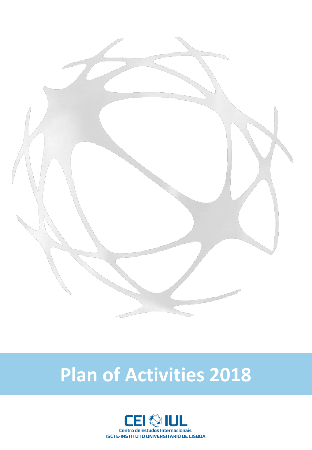

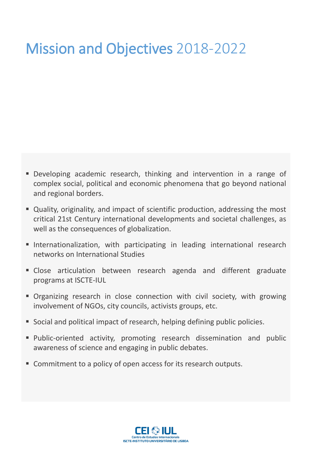## Mission and Objectives 2018-2022

- Developing academic research, thinking and intervention in a range of complex social, political and economic phenomena that go beyond national and regional borders.
- Quality, originality, and impact of scientific production, addressing the most critical 21st Century international developments and societal challenges, as well as the consequences of globalization.
- **Internationalization, with participating in leading international research** networks on International Studies
- **E** Close articulation between research agenda and different graduate programs at ISCTE-IUL
- **•** Organizing research in close connection with civil society, with growing involvement of NGOs, city councils, activists groups, etc.
- Social and political impact of research, helping defining public policies.
- **•** Public-oriented activity, promoting research dissemination and public awareness of science and engaging in public debates.
- Commitment to a policy of open access for its research outputs.

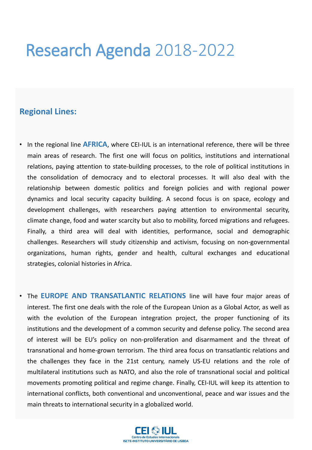## Research Agenda 2018-2022

#### **Regional Lines:**

- In the regional line **AFRICA**, where CEI-IUL is an international reference, there will be three main areas of research. The first one will focus on politics, institutions and international relations, paying attention to state-building processes, to the role of political institutions in the consolidation of democracy and to electoral processes. It will also deal with the relationship between domestic politics and foreign policies and with regional power dynamics and local security capacity building. A second focus is on space, ecology and development challenges, with researchers paying attention to environmental security, climate change, food and water scarcity but also to mobility, forced migrations and refugees. Finally, a third area will deal with identities, performance, social and demographic challenges. Researchers will study citizenship and activism, focusing on non-governmental organizations, human rights, gender and health, cultural exchanges and educational strategies, colonial histories in Africa.
- The **EUROPE AND TRANSATLANTIC RELATIONS** line will have four major areas of interest. The first one deals with the role of the European Union as a Global Actor, as well as with the evolution of the European integration project, the proper functioning of its institutions and the development of a common security and defense policy. The second area of interest will be EU's policy on non-proliferation and disarmament and the threat of transnational and home-grown terrorism. The third area focus on transatlantic relations and the challenges they face in the 21st century, namely US-EU relations and the role of multilateral institutions such as NATO, and also the role of transnational social and political movements promoting political and regime change. Finally, CEI-IUL will keep its attention to international conflicts, both conventional and unconventional, peace and war issues and the main threats to international security in a globalized world.

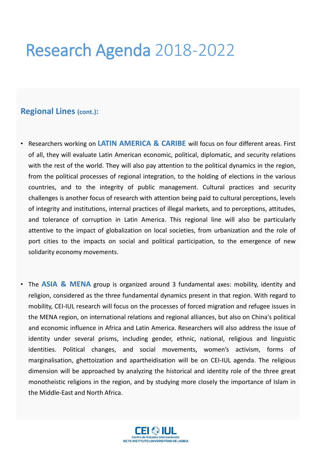## Research Agenda 2018-2022

#### **Regional Lines (cont.):**

- Researchers working on **LATIN AMERICA & CARIBE** will focus on four different areas. First of all, they will evaluate Latin American economic, political, diplomatic, and security relations with the rest of the world. They will also pay attention to the political dynamics in the region, from the political processes of regional integration, to the holding of elections in the various countries, and to the integrity of public management. Cultural practices and security challenges is another focus of research with attention being paid to cultural perceptions, levels of integrity and institutions, internal practices of illegal markets, and to perceptions, attitudes, and tolerance of corruption in Latin America. This regional line will also be particularly attentive to the impact of globalization on local societies, from urbanization and the role of port cities to the impacts on social and political participation, to the emergence of new solidarity economy movements.
- The **ASIA & MENA** group is organized around 3 fundamental axes: mobility, identity and religion, considered as the three fundamental dynamics present in that region. With regard to mobility, CEI-IUL research will focus on the processes of forced migration and refugee issues in the MENA region, on international relations and regional alliances, but also on China's political and economic influence in Africa and Latin America. Researchers will also address the issue of identity under several prisms, including gender, ethnic, national, religious and linguistic identities. Political changes, and social movements, women's activism, forms of marginalisation, ghettoization and apartheidisation will be on CEI-IUL agenda. The religious dimension will be approached by analyzing the historical and identity role of the three great monotheistic religions in the region, and by studying more closely the importance of Islam in the Middle-East and North Africa.

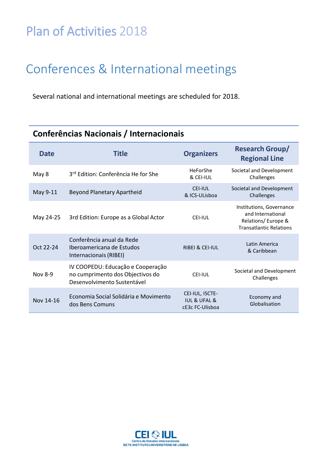#### Conferences & International meetings

Several national and international meetings are scheduled for 2018.

| Conferências Nacionais / Internacionais |                                                                                                      |                                                                   |                                                                                                       |
|-----------------------------------------|------------------------------------------------------------------------------------------------------|-------------------------------------------------------------------|-------------------------------------------------------------------------------------------------------|
| <b>Date</b>                             | <b>Title</b>                                                                                         | <b>Organizers</b>                                                 | <b>Research Group/</b><br><b>Regional Line</b>                                                        |
| May 8                                   | 3 <sup>rd</sup> Edition: Conferência He for She                                                      | HeForShe<br>& CEI-IUL                                             | Societal and Development<br>Challenges                                                                |
| May 9-11                                | <b>Beyond Planetary Apartheid</b>                                                                    | <b>CEI-IUL</b><br>& ICS-ULisboa                                   | Societal and Development<br>Challenges                                                                |
| May 24-25                               | 3rd Edition: Europe as a Global Actor                                                                | <b>CEI-IUL</b>                                                    | Institutions, Governance<br>and International<br>Relations/Europe &<br><b>Transatlantic Relations</b> |
| Oct 22-24                               | Conferência anual da Rede<br>Iberoamericana de Estudos<br>Internacionais (RIBEI)                     | <b>RIBEI &amp; CEI-IUL</b>                                        | Latin America<br>& Caribbean                                                                          |
| Nov 8-9                                 | IV COOPEDU: Educação e Cooperação<br>no cumprimento dos Objectivos do<br>Desenvolvimento Sustentável | <b>CEI-IUL</b>                                                    | Societal and Development<br>Challenges                                                                |
| Nov 14-16                               | Economia Social Solidária e Movimento<br>dos Bens Comuns                                             | CEI-IUL, ISCTE-<br><b>IUL &amp; UFAL &amp;</b><br>cE3c FC-Ulisboa | Economy and<br>Globalisation                                                                          |

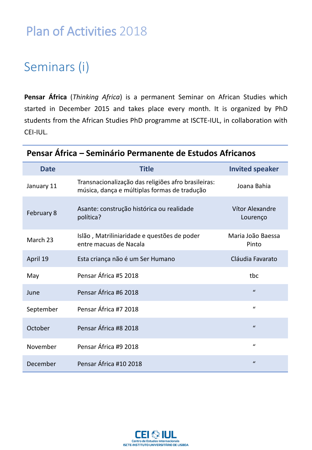#### Seminars (i)

**Pensar África** (*Thinking Africa*) is a permanent Seminar on African Studies which started in December 2015 and takes place every month. It is organized by PhD students from the African Studies PhD programme at ISCTE-IUL, in collaboration with CEI-IUL.

| <b>Date</b> | <b>Title</b>                                                                                        | <b>Invited speaker</b>      |
|-------------|-----------------------------------------------------------------------------------------------------|-----------------------------|
| January 11  | Transnacionalização das religiões afro brasileiras:<br>música, dança e múltiplas formas de tradução | Joana Bahia                 |
| February 8  | Asante: construção histórica ou realidade<br>política?                                              | Vítor Alexandre<br>Lourenço |
| March 23    | Islão, Matriliniaridade e questões de poder<br>entre macuas de Nacala                               | Maria João Baessa<br>Pinto  |
| April 19    | Esta criança não é um Ser Humano                                                                    | Cláudia Favarato            |
| May         | Pensar África #5 2018                                                                               | tbc                         |
| June        | Pensar África #6 2018                                                                               | $\mathbf{u}$                |
| September   | Pensar África #7 2018                                                                               | $\boldsymbol{u}$            |
| October     | Pensar África #8 2018                                                                               | $\boldsymbol{u}$            |
| November    | Pensar África #9 2018                                                                               | $\mathbf{u}$                |
| December    | Pensar África #10 2018                                                                              | $\boldsymbol{u}$            |

#### **Pensar África – Seminário Permanente de Estudos Africanos**

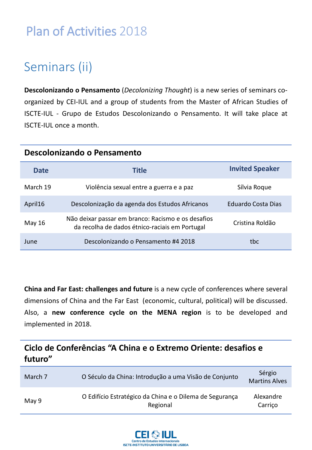#### Seminars (ii)

**Descolonizando o Pensamento** (*Decolonizing Thought*) is a new series of seminars coorganized by CEI-IUL and a group of students from the Master of African Studies of ISCTE-IUL - Grupo de Estudos Descolonizando o Pensamento. It will take place at ISCTE-IUL once a month.

| Descolonizando o Pensamento |                                                                                                      |                        |
|-----------------------------|------------------------------------------------------------------------------------------------------|------------------------|
| <b>Date</b>                 | <b>Title</b>                                                                                         | <b>Invited Speaker</b> |
| March 19                    | Violência sexual entre a guerra e a paz                                                              | Sílvia Roque           |
| April16                     | Descolonização da agenda dos Estudos Africanos                                                       | Eduardo Costa Dias     |
| May 16                      | Não deixar passar em branco: Racismo e os desafios<br>da recolha de dados étnico-raciais em Portugal | Cristina Roldão        |
| June                        | Descolonizando o Pensamento #4 2018                                                                  | tbc                    |

**China and Far East: challenges and future** is a new cycle of conferences where several dimensions of China and the Far East (economic, cultural, political) will be discussed. Also, a **new conference cycle on the MENA region** is to be developed and implemented in 2018.

#### **Ciclo de Conferências "A China e o Extremo Oriente: desafios e futuro"**

| March 7 | O Século da China: Introdução a uma Visão de Conjunto               | Sérgio<br><b>Martins Alves</b> |
|---------|---------------------------------------------------------------------|--------------------------------|
| May 9   | O Edifício Estratégico da China e o Dilema de Segurança<br>Regional | Alexandre<br>Carrico           |

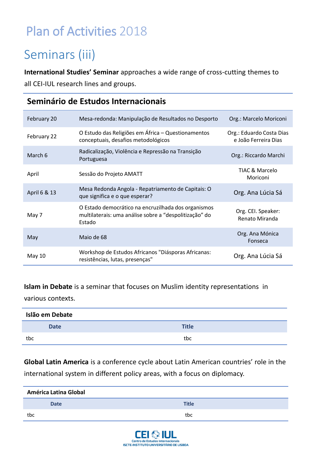### Seminars (iii)

**International Studies' Seminar** approaches a wide range of cross-cutting themes to all CEI-IUL research lines and groups.

| February 20  | Mesa-redonda: Manipulação de Resultados no Desporto                                                                     | Org.: Marcelo Moriconi                           |
|--------------|-------------------------------------------------------------------------------------------------------------------------|--------------------------------------------------|
| February 22  | O Estudo das Religiões em África - Questionamentos<br>conceptuais, desafios metodológicos                               | Org.: Eduardo Costa Dias<br>e João Ferreira Dias |
| March 6      | Radicalização, Violência e Repressão na Transição<br>Portuguesa                                                         | Org.: Riccardo Marchi                            |
| April        | Sessão do Projeto AMATT                                                                                                 | <b>TIAC &amp; Marcelo</b><br>Moriconi            |
| April 6 & 13 | Mesa Redonda Angola - Repatriamento de Capitais: O<br>que significa e o que esperar?                                    | Org. Ana Lúcia Sá                                |
| May 7        | O Estado democrático na encruzilhada dos organismos<br>multilaterais: uma análise sobre a "despolitização" do<br>Estado | Org. CEI. Speaker:<br>Renato Miranda             |
| May          | Maio de 68                                                                                                              | Org. Ana Mónica<br>Fonseca                       |
| May 10       | Workshop de Estudos Africanos "Diásporas Africanas:<br>resistências, lutas, presenças"                                  | Org. Ana Lúcia Sá                                |

#### **Seminário de Estudos Internacionais**

#### **Islam in Debate** is a seminar that focuses on Muslim identity representations in

various contexts.

| Islão em Debate |              |
|-----------------|--------------|
| <b>Date</b>     | <b>Title</b> |
| tbc             | tbc          |

**Global Latin America** is a conference cycle about Latin American countries' role in the international system in different policy areas, with a focus on diplomacy.

| <b>América Latina Global</b> |              |  |
|------------------------------|--------------|--|
| <b>Date</b>                  | <b>Title</b> |  |
| tbc                          | tbc          |  |

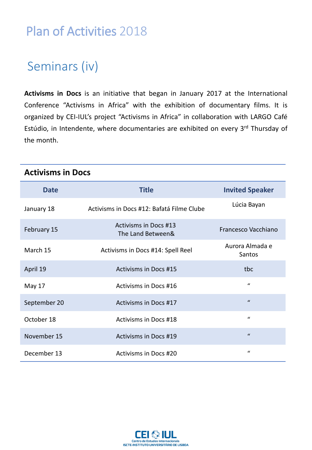### Seminars (iv)

**Activisms in Docs** is an initiative that began in January 2017 at the International Conference "Activisms in Africa" with the exhibition of documentary films. It is organized by CEI-IUL's project "Activisms in Africa" in collaboration with LARGO Café Estúdio, in Intendente, where documentaries are exhibited on every 3<sup>rd</sup> Thursday of the month.

| <b>Date</b>  | <b>Title</b>                                      | <b>Invited Speaker</b>    |
|--------------|---------------------------------------------------|---------------------------|
| January 18   | Activisms in Docs #12: Bafatá Filme Clube         | Lúcia Bayan               |
| February 15  | <b>Activisms in Docs #13</b><br>The Land Between& | Francesco Vacchiano       |
| March 15     | Activisms in Docs #14: Spell Reel                 | Aurora Almada e<br>Santos |
| April 19     | <b>Activisms in Docs #15</b>                      | tbc                       |
| May 17       | Activisms in Docs #16                             | $\mathbf{u}$              |
| September 20 | Activisms in Docs #17                             | $\boldsymbol{u}$          |
| October 18   | <b>Activisms in Docs #18</b>                      | $\mathcal{U}$             |
| November 15  | Activisms in Docs #19                             | $\mathbf{u}$              |
| December 13  | <b>Activisms in Docs #20</b>                      | $\mathbf{u}$              |

#### **Activisms in Docs**

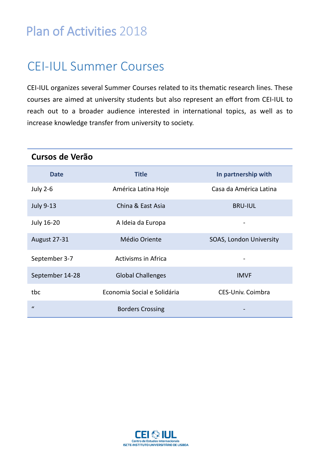#### CEI-IUL Summer Courses

CEI-IUL organizes several Summer Courses related to its thematic research lines. These courses are aimed at university students but also represent an effort from CEI-IUL to reach out to a broader audience interested in international topics, as well as to increase knowledge transfer from university to society.

| Cursos de Verão     |                             |                         |
|---------------------|-----------------------------|-------------------------|
| <b>Date</b>         | <b>Title</b>                | In partnership with     |
| <b>July 2-6</b>     | América Latina Hoje         | Casa da América Latina  |
| <b>July 9-13</b>    | China & East Asia           | <b>BRU-IUL</b>          |
| July 16-20          | A Ideia da Europa           |                         |
| <b>August 27-31</b> | Médio Oriente               | SOAS, London University |
| September 3-7       | <b>Activisms in Africa</b>  |                         |
| September 14-28     | <b>Global Challenges</b>    | <b>IMVF</b>             |
| tbc                 | Economia Social e Solidária | CES-Univ. Coimbra       |
| $\mathbf{u}$        | <b>Borders Crossing</b>     |                         |

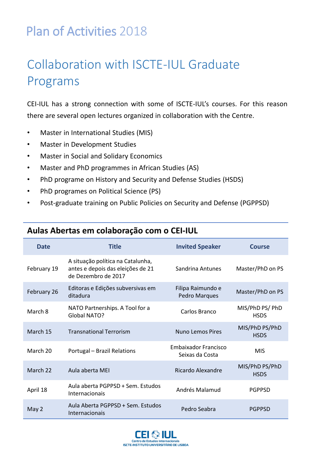### Collaboration with ISCTE-IUL Graduate Programs

CEI-IUL has a strong connection with some of ISCTE-IUL's courses. For this reason there are several open lectures organized in collaboration with the Centre.

- Master in International Studies (MIS)
- Master in Development Studies
- Master in Social and Solidary Economics
- Master and PhD programmes in African Studies (AS)
- PhD programe on History and Security and Defense Studies (HSDS)
- PhD programes on Political Science (PS)
- Post-graduate training on Public Policies on Security and Defense (PGPPSD)

| <b>Date</b> | <b>Title</b>                                                                                  | <b>Invited Speaker</b>                         | Course                         |
|-------------|-----------------------------------------------------------------------------------------------|------------------------------------------------|--------------------------------|
| February 19 | A situação política na Catalunha,<br>antes e depois das eleições de 21<br>de Dezembro de 2017 | Sandrina Antunes                               | Master/PhD on PS               |
| February 26 | Editoras e Edições subversivas em<br>ditadura                                                 | Filipa Raimundo e<br>Pedro Marques             | Master/PhD on PS               |
| March 8     | NATO Partnerships. A Tool for a<br>Global NATO?                                               | Carlos Branco                                  | MIS/PhD PS/ PhD<br><b>HSDS</b> |
| March 15    | <b>Transnational Terrorism</b>                                                                | <b>Nuno Lemos Pires</b>                        | MIS/PhD PS/PhD<br><b>HSDS</b>  |
| March 20    | Portugal - Brazil Relations                                                                   | <b>Embaixador Francisco</b><br>Seixas da Costa | <b>MIS</b>                     |
| March 22    | Aula aberta MEI                                                                               | Ricardo Alexandre                              | MIS/PhD PS/PhD<br><b>HSDS</b>  |
| April 18    | Aula aberta PGPPSD + Sem. Estudos<br>Internacionais                                           | Andrés Malamud                                 | <b>PGPPSD</b>                  |
| May 2       | Aula Aberta PGPPSD + Sem. Estudos<br>Internacionais                                           | Pedro Seabra                                   | <b>PGPPSD</b>                  |

#### **Aulas Abertas em colaboração com o CEI-IUL**

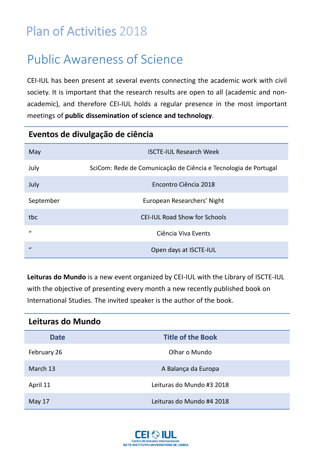### Public Awareness of Science

CEI-IUL has been present at several events connecting the academic work with civil society. It is important that the research results are open to all (academic and nonacademic), and therefore CEI-IUL holds a regular presence in the most important meetings of **public dissemination of science and technology**.

#### **Eventos de divulgação de ciência**

| May           | <b>ISCTE-IUL Research Week</b>                                  |
|---------------|-----------------------------------------------------------------|
| July          | SciCom: Rede de Comunicação de Ciência e Tecnologia de Portugal |
| July          | Encontro Ciência 2018                                           |
| September     | European Researchers' Night                                     |
| tbc           | <b>CEI-IUL Road Show for Schools</b>                            |
| $\mathbf{u}$  | Ciência Viva Events                                             |
| $\mathcal{U}$ | Open days at ISCTE-IUL                                          |

**Leituras do Mundo** is a new event organized by CEI-IUL with the Library of ISCTE-IUL with the objective of presenting every month a new recently published book on International Studies. The invited speaker is the author of the book.

| Leituras do Mundo |                           |  |
|-------------------|---------------------------|--|
| <b>Date</b>       | <b>Title of the Book</b>  |  |
| February 26       | Olhar o Mundo             |  |
| March 13          | A Balança da Europa       |  |
| April 11          | Leituras do Mundo #3 2018 |  |
| May 17            | Leituras do Mundo #4 2018 |  |